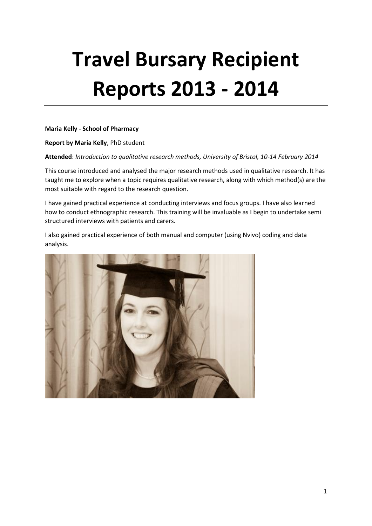# **Travel Bursary Recipient Reports 2013 - 2014**

**Maria Kelly - School of Pharmacy**

**Report by Maria Kelly**, PhD student

**Attended**: *Introduction to qualitative research methods, University of Bristol, 10-14 February 2014*

This course introduced and analysed the major research methods used in qualitative research. It has taught me to explore when a topic requires qualitative research, along with which method(s) are the most suitable with regard to the research question.

I have gained practical experience at conducting interviews and focus groups. I have also learned how to conduct ethnographic research. This training will be invaluable as I begin to undertake semi structured interviews with patients and carers.

I also gained practical experience of both manual and computer (using Nvivo) coding and data analysis.

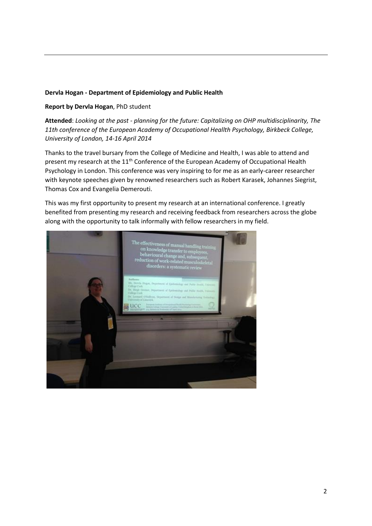# **Dervla Hogan - Department of Epidemiology and Public Health**

# **Report by Dervla Hogan**, PhD student

**Attended**: *Looking at the past - planning for the future: Capitalizing on OHP multidisciplinarity, The 11th conference of the European Academy of Occupational Heallth Psychology, Birkbeck College, University of London, 14-16 April 2014*

Thanks to the travel bursary from the College of Medicine and Health, I was able to attend and present my research at the 11<sup>th</sup> Conference of the European Academy of Occupational Health Psychology in London. This conference was very inspiring to for me as an early-career researcher with keynote speeches given by renowned researchers such as Robert Karasek, Johannes Siegrist, Thomas Cox and Evangelia Demerouti.

This was my first opportunity to present my research at an international conference. I greatly benefited from presenting my research and receiving feedback from researchers across the globe along with the opportunity to talk informally with fellow researchers in my field.

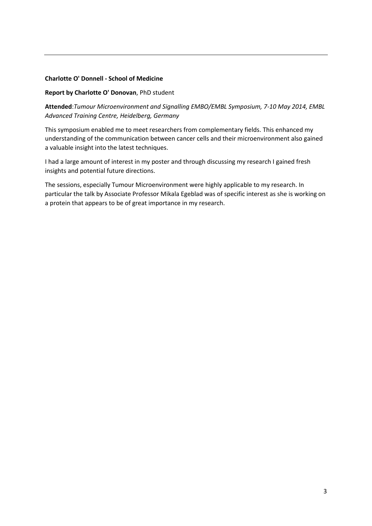# **Charlotte O' Donnell - School of Medicine**

### **Report by Charlotte O' Donovan**, PhD student

**Attended**:*Tumour Microenvironment and Signalling EMBO/EMBL Symposium, 7-10 May 2014, EMBL Advanced Training Centre, Heidelberg, Germany*

This symposium enabled me to meet researchers from complementary fields. This enhanced my understanding of the communication between cancer cells and their microenvironment also gained a valuable insight into the latest techniques.

I had a large amount of interest in my poster and through discussing my research I gained fresh insights and potential future directions.

The sessions, especially Tumour Microenvironment were highly applicable to my research. In particular the talk by Associate Professor Mikala Egeblad was of specific interest as she is working on a protein that appears to be of great importance in my research.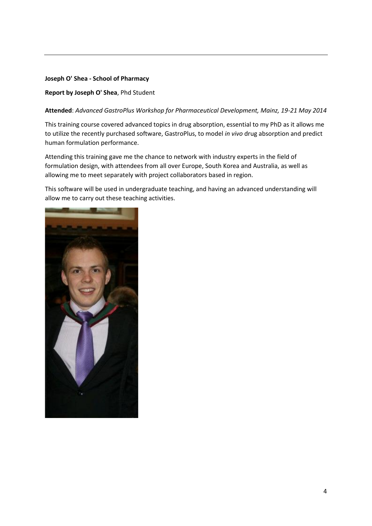# **Joseph O' Shea - School of Pharmacy**

# **Report by Joseph O' Shea**, Phd Student

# **Attended**: *Advanced GastroPlus Workshop for Pharmaceutical Development, Mainz, 19-21 May 2014*

This training course covered advanced topics in drug absorption, essential to my PhD as it allows me to utilize the recently purchased software, GastroPlus, to model *in vivo* drug absorption and predict human formulation performance.

Attending this training gave me the chance to network with industry experts in the field of formulation design, with attendees from all over Europe, South Korea and Australia, as well as allowing me to meet separately with project collaborators based in region.

This software will be used in undergraduate teaching, and having an advanced understanding will allow me to carry out these teaching activities.

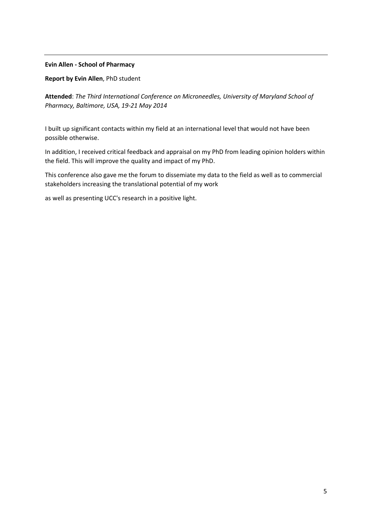### **Evin Allen - School of Pharmacy**

**Report by Evin Allen**, PhD student

**Attended**: *The Third International Conference on Microneedles, University of Maryland School of Pharmacy, Baltimore, USA, 19-21 May 2014*

I built up significant contacts within my field at an international level that would not have been possible otherwise.

In addition, I received critical feedback and appraisal on my PhD from leading opinion holders within the field. This will improve the quality and impact of my PhD.

This conference also gave me the forum to dissemiate my data to the field as well as to commercial stakeholders increasing the translational potential of my work

as well as presenting UCC's research in a positive light.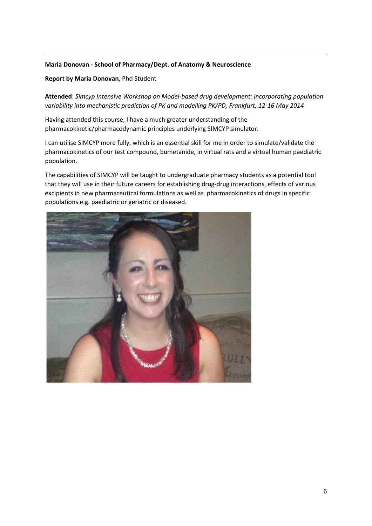# **Maria Donovan - School of Pharmacy/Dept. of Anatomy & Neuroscience**

# **Report by Maria Donovan**, Phd Student

**Attended**: *Simcyp Intensive Workshop on Model-based drug development: Incorporating population variability into mechanistic prediction of PK and modelling PK/PD, Frankfurt, 12-16 May 2014*

Having attended this course, I have a much greater understanding of the pharmacokinetic/pharmacodynamic principles underlying SIMCYP simulator.

I can utilise SIMCYP more fully, which is an essential skill for me in order to simulate/validate the pharmacokinetics of our test compound, bumetanide, in virtual rats and a virtual human paediatric population.

The capabilities of SIMCYP will be taught to undergraduate pharmacy students as a potential tool that they will use in their future careers for establishing drug-drug interactions, effects of various excipients in new pharmaceutical formulations as well as pharmacokinetics of drugs in specific populations e.g. paediatric or geriatric or diseased.

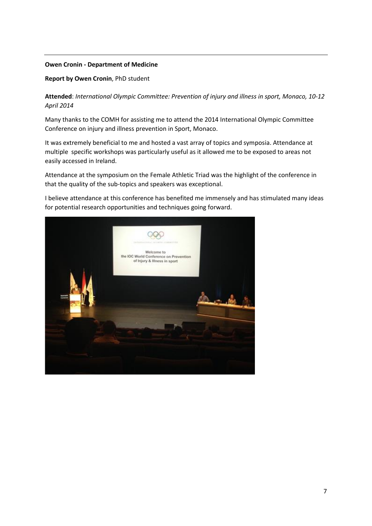#### **Owen Cronin - Department of Medicine**

#### **Report by Owen Cronin**, PhD student

**Attended**: *International Olympic Committee: Prevention of injury and illness in sport, Monaco, 10-12 April 2014*

Many thanks to the COMH for assisting me to attend the 2014 International Olympic Committee Conference on injury and illness prevention in Sport, Monaco.

It was extremely beneficial to me and hosted a vast array of topics and symposia. Attendance at multiple specific workshops was particularly useful as it allowed me to be exposed to areas not easily accessed in Ireland.

Attendance at the symposium on the Female Athletic Triad was the highlight of the conference in that the quality of the sub-topics and speakers was exceptional.

I believe attendance at this conference has benefited me immensely and has stimulated many ideas for potential research opportunities and techniques going forward.

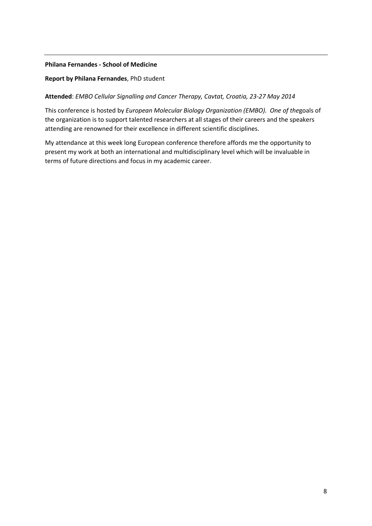# **Philana Fernandes - School of Medicine**

# **Report by Philana Fernandes**, PhD student

# **Attended**: *EMBO Cellular Signalling and Cancer Therapy, Cavtat, Croatia, 23-27 May 2014*

This conference is hosted by *European Molecular Biology Organization (EMBO). One of the*goals of the organization is to support talented researchers at all stages of their careers and the speakers attending are renowned for their excellence in different scientific disciplines.

My attendance at this week long European conference therefore affords me the opportunity to present my work at both an international and multidisciplinary level which will be invaluable in terms of future directions and focus in my academic career.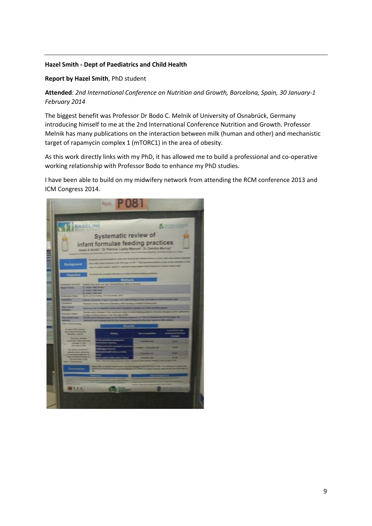# **Hazel Smith - Dept of Paediatrics and Child Health**

# **Report by Hazel Smith**, PhD student

**Attended**: *2nd International Conference on Nutrition and Growth, Barcelona, Spain, 30 January-1 February 2014*

The biggest benefit was Professor Dr Bodo C. Melnik of University of Osnabrück, Germany introducing himself to me at the 2nd International Conference Nutrition and Growth. Professor Melnik has many publications on the interaction between milk (human and other) and mechanistic target of rapamycin complex 1 (mTORC1) in the area of obesity.

As this work directly links with my PhD, it has allowed me to build a professional and co-operative working relationship with Professor Bodo to enhance my PhD studies.

I have been able to build on my midwifery network from attending the RCM conference 2013 and ICM Congress 2014.

|                                                                                 |                                                  | <b>Float</b> P                                                                                                                                            |                                                                                                     |  |
|---------------------------------------------------------------------------------|--------------------------------------------------|-----------------------------------------------------------------------------------------------------------------------------------------------------------|-----------------------------------------------------------------------------------------------------|--|
|                                                                                 | <b>BASELINE</b>                                  | Systematic review of                                                                                                                                      | infant formulae feeding practices<br>Hazel A Smith", Dr Patricia Leafty-Warren", Or Seinths Warray" |  |
| الإنك                                                                           |                                                  | encountable to state that homele-but one<br>think helds retails becomes in the first same of the "<br><b><i>Colorador Company of the American St.</i></b> | <b><i><u>The most</u></i></b>                                                                       |  |
|                                                                                 |                                                  |                                                                                                                                                           | the Manhood of the Printer                                                                          |  |
| <b><i><u>Constitute International</u></i></b>                                   | CRASH, Part with Fair Text:                      |                                                                                                                                                           |                                                                                                     |  |
| <b>Scand Street</b>                                                             | <b>It select and home?</b>                       |                                                                                                                                                           |                                                                                                     |  |
|                                                                                 | To misself with their<br>It want will out 11.500 |                                                                                                                                                           |                                                                                                     |  |
| <b><i>Lakesman Trans</i></b>                                                    |                                                  | the te and including that December 2012                                                                                                                   |                                                                                                     |  |
| <b>Particular</b>                                                               |                                                  | <b>School Convention of age of product with more basis</b>                                                                                                |                                                                                                     |  |
| <b>SERVICE</b>                                                                  |                                                  | and Alsay Madules L September 650 Norton                                                                                                                  |                                                                                                     |  |
| Direct America                                                                  | <b>Rockeyman Statistics Controller of</b>        |                                                                                                                                                           |                                                                                                     |  |
| <b><i><u>CONTRACTORS</u></i></b>                                                |                                                  |                                                                                                                                                           |                                                                                                     |  |
| <b>State Sections' Acts</b>                                                     | <b><i><u>SALEMAN</u></i></b>                     | Summers for the Street week out the<br><b>Contract of the State State School</b>                                                                          |                                                                                                     |  |
| _                                                                               |                                                  |                                                                                                                                                           |                                                                                                     |  |
|                                                                                 |                                                  |                                                                                                                                                           |                                                                                                     |  |
| to look 4,230 schools.<br>with Bureau testing the<br><b>The Green, married </b> |                                                  |                                                                                                                                                           |                                                                                                     |  |
| <b>Drilly Test Windows</b><br>pringt interchem<br>Phoneses in the               |                                                  |                                                                                                                                                           |                                                                                                     |  |
| <b>THE WAY OF THE</b>                                                           |                                                  |                                                                                                                                                           |                                                                                                     |  |
| <b>Re-stock summarily</b><br>powerts were adhering                              |                                                  |                                                                                                                                                           |                                                                                                     |  |
| <b>Constitution Continues and</b><br><b>SALE OF BALLY ROWALD ID</b>             |                                                  |                                                                                                                                                           |                                                                                                     |  |
| <b>Par filters were all filts</b><br><b>Germany Corpora</b>                     |                                                  |                                                                                                                                                           |                                                                                                     |  |
|                                                                                 |                                                  |                                                                                                                                                           |                                                                                                     |  |
|                                                                                 |                                                  |                                                                                                                                                           |                                                                                                     |  |
| $A$ C is a                                                                      |                                                  |                                                                                                                                                           |                                                                                                     |  |
|                                                                                 |                                                  |                                                                                                                                                           |                                                                                                     |  |
|                                                                                 |                                                  |                                                                                                                                                           |                                                                                                     |  |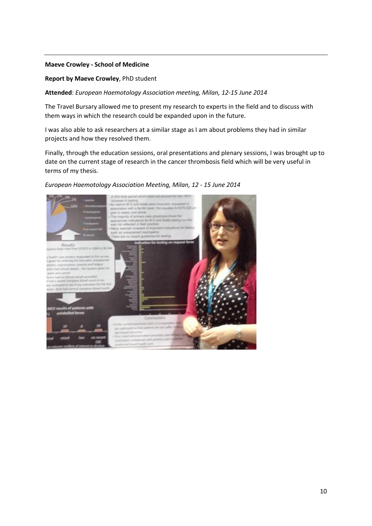#### **Maeve Crowley - School of Medicine**

#### **Report by Maeve Crowley**, PhD student

**Attended**: *European Haemotology Association meeting, Milan, 12-15 June 2014*

The Travel Bursary allowed me to present my research to experts in the field and to discuss with them ways in which the research could be expanded upon in the future.

I was also able to ask researchers at a similar stage as I am about problems they had in similar projects and how they resolved them.

Finally, through the education sessions, oral presentations and plenary sessions, I was brought up to date on the current stage of research in the cancer thrombosis field which will be very useful in terms of my thesis.

#### *European Haemotology Association Meeting, Milan, 12 - 15 June 2014*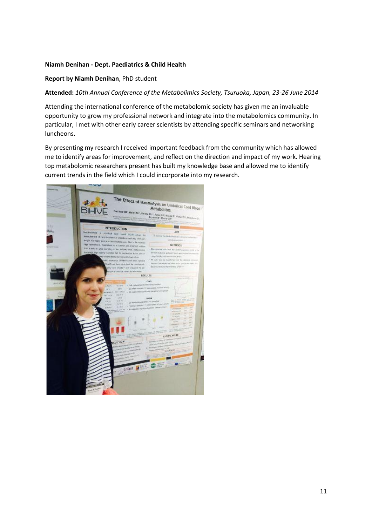# **Niamh Denihan - Dept. Paediatrics & Child Health**

### **Report by Niamh Denihan**, PhD student

**Attended:** *10th Annual Conference of the Metabolimics Society, Tsuruoka, Japan, 23-26 June 2014*

Attending the international conference of the metabolomic society has given me an invaluable opportunity to grow my professional network and integrate into the metabolomics community. In particular, I met with other early career scientists by attending specific seminars and networking luncheons.

By presenting my research I received important feedback from the community which has allowed me to identify areas for improvement, and reflect on the direction and impact of my work. Hearing top metabolomic researchers present has built my knowledge base and allowed me to identify current trends in the field which I could incorporate into my research.

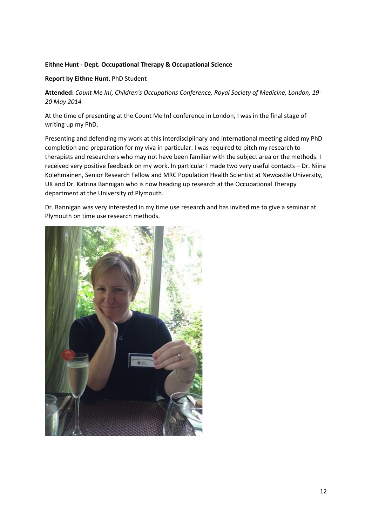# **Eithne Hunt - Dept. Occupational Therapy & Occupational Science**

# **Report by Eithne Hunt**, PhD Student

**Attended:** *Count Me In!, Children's Occupations Conference, Royal Society of Medicine, London, 19- 20 May 2014*

At the time of presenting at the Count Me In! conference in London, I was in the final stage of writing up my PhD.

Presenting and defending my work at this interdisciplinary and international meeting aided my PhD completion and preparation for my viva in particular. I was required to pitch my research to therapists and researchers who may not have been familiar with the subject area or the methods. I received very positive feedback on my work. In particular I made two very useful contacts – Dr. Niina Kolehmainen, Senior Research Fellow and MRC Population Health Scientist at Newcastle University, UK and Dr. Katrina Bannigan who is now heading up research at the Occupational Therapy department at the University of Plymouth.

Dr. Bannigan was very interested in my time use research and has invited me to give a seminar at Plymouth on time use research methods.

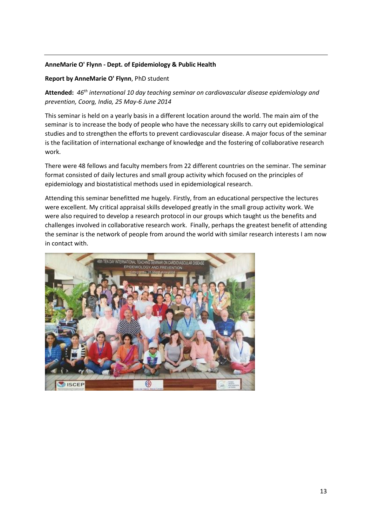# **AnneMarie O' Flynn - Dept. of Epidemiology & Public Health**

# **Report by AnneMarie O' Flynn**, PhD student

**Attended:** *46th international 10 day teaching seminar on cardiovascular disease epidemiology and prevention, Coorg, India, 25 May-6 June 2014*

This seminar is held on a yearly basis in a different location around the world. The main aim of the seminar is to increase the body of people who have the necessary skills to carry out epidemiological studies and to strengthen the efforts to prevent cardiovascular disease. A major focus of the seminar is the facilitation of international exchange of knowledge and the fostering of collaborative research work.

There were 48 fellows and faculty members from 22 different countries on the seminar. The seminar format consisted of daily lectures and small group activity which focused on the principles of epidemiology and biostatistical methods used in epidemiological research.

Attending this seminar benefitted me hugely. Firstly, from an educational perspective the lectures were excellent. My critical appraisal skills developed greatly in the small group activity work. We were also required to develop a research protocol in our groups which taught us the benefits and challenges involved in collaborative research work. Finally, perhaps the greatest benefit of attending the seminar is the network of people from around the world with similar research interests I am now in contact with.

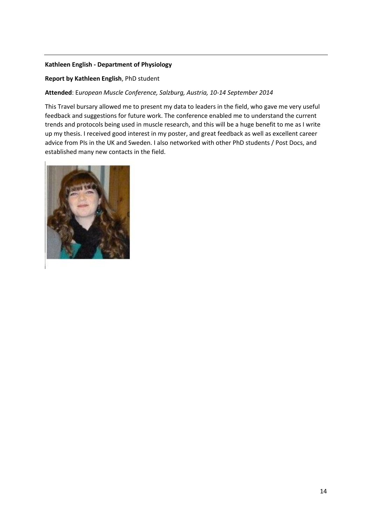# **Kathleen English - Department of Physiology**

# **Report by Kathleen English**, PhD student

# **Attended**: E*uropean Muscle Conference, Salzburg, Austria, 10-14 September 2014*

This Travel bursary allowed me to present my data to leaders in the field, who gave me very useful feedback and suggestions for future work. The conference enabled me to understand the current trends and protocols being used in muscle research, and this will be a huge benefit to me as I write up my thesis. I received good interest in my poster, and great feedback as well as excellent career advice from PIs in the UK and Sweden. I also networked with other PhD students / Post Docs, and established many new contacts in the field.

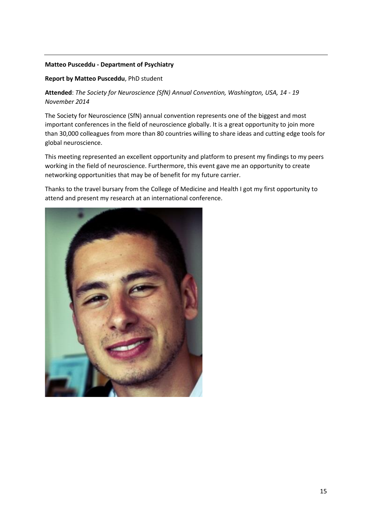# **Matteo Pusceddu - Department of Psychiatry**

### **Report by Matteo Pusceddu**, PhD student

**Attended**: *The Society for Neuroscience (SfN) Annual Convention, Washington, USA, 14 - 19 November 2014*

The Society for Neuroscience (SfN) annual convention represents one of the biggest and most important conferences in the field of neuroscience globally. It is a great opportunity to join more than 30,000 colleagues from more than 80 countries willing to share ideas and cutting edge tools for global neuroscience.

This meeting represented an excellent opportunity and platform to present my findings to my peers working in the field of neuroscience. Furthermore, this event gave me an opportunity to create networking opportunities that may be of benefit for my future carrier.

Thanks to the travel bursary from the College of Medicine and Health I got my first opportunity to attend and present my research at an international conference.

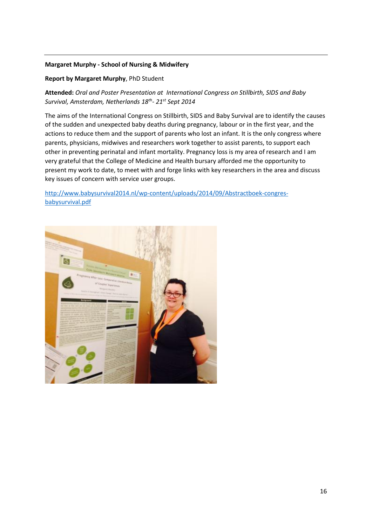# **Margaret Murphy - School of Nursing & Midwifery**

# **Report by Margaret Murphy**, PhD Student

**Attended:** *Oral and Poster Presentation at International Congress on Stillbirth, SIDS and Baby Survival, Amsterdam, Netherlands 18th - 21st Sept 2014*

The aims of the International Congress on Stillbirth, SIDS and Baby Survival are to identify the causes of the sudden and unexpected baby deaths during pregnancy, labour or in the first year, and the actions to reduce them and the support of parents who lost an infant. It is the only congress where parents, physicians, midwives and researchers work together to assist parents, to support each other in preventing perinatal and infant mortality. Pregnancy loss is my area of research and I am very grateful that the College of Medicine and Health bursary afforded me the opportunity to present my work to date, to meet with and forge links with key researchers in the area and discuss key issues of concern with service user groups.

[http://www.babysurvival2014.nl/wp-content/uploads/2014/09/Abstractboek-congres](http://www.babysurvival2014.nl/wp-content/uploads/2014/09/Abstractboek-congres-babysurvival.pdf)[babysurvival.pdf](http://www.babysurvival2014.nl/wp-content/uploads/2014/09/Abstractboek-congres-babysurvival.pdf)

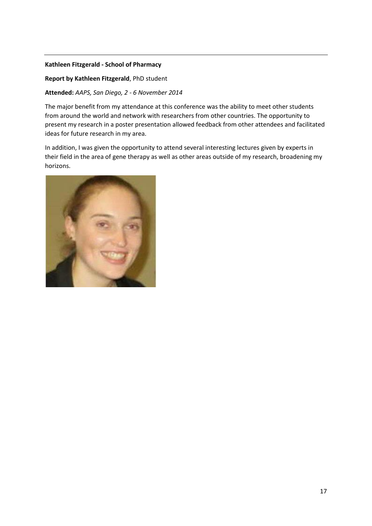# **Kathleen Fitzgerald - School of Pharmacy**

# **Report by Kathleen Fitzgerald**, PhD student

# **Attended:** *AAPS, San Diego, 2 - 6 November 2014*

The major benefit from my attendance at this conference was the ability to meet other students from around the world and network with researchers from other countries. The opportunity to present my research in a poster presentation allowed feedback from other attendees and facilitated ideas for future research in my area.

In addition, I was given the opportunity to attend several interesting lectures given by experts in their field in the area of gene therapy as well as other areas outside of my research, broadening my horizons.